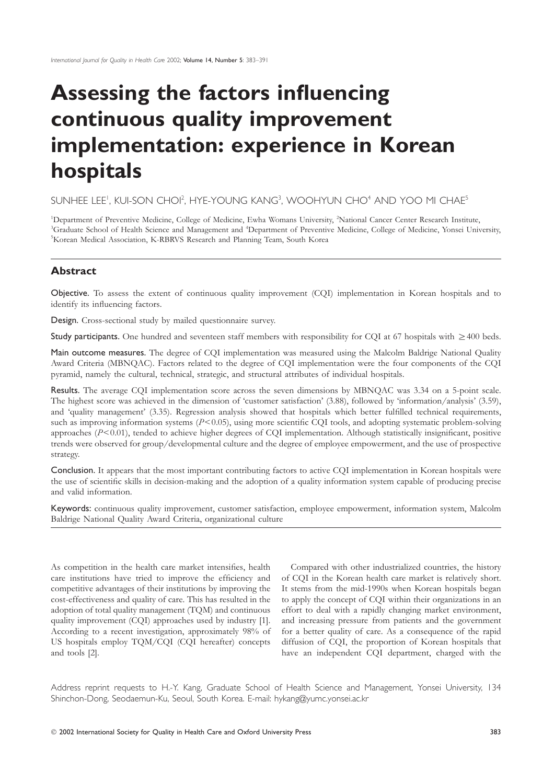# **Assessing the factors influencing continuous quality improvement implementation: experience in Korean hospitals**

 $\,$ SUNHEE LEE', KUI-SON CHOI $^2$ , HYE-YOUNG KANG $^3$ , WOOHYUN CHO $^4$  AND YOO MI CHAE $^5$ 

<sup>1</sup>Department of Preventive Medicine, College of Medicine, Ewha Womans University, <sup>2</sup>National Cancer Center Research Institute, <sup>3</sup>Graduate School of Health Science and Management and <sup>4</sup>Department of Preventive Medicine, College of Medicine, Yonsei University, 5 Korean Medical Association, K-RBRVS Research and Planning Team, South Korea

### **Abstract**

Objective. To assess the extent of continuous quality improvement (CQI) implementation in Korean hospitals and to identify its influencing factors.

Design. Cross-sectional study by mailed questionnaire survey.

Study participants. One hundred and seventeen staff members with responsibility for CQI at 67 hospitals with  $\geq$ 400 beds.

Main outcome measures. The degree of COI implementation was measured using the Malcolm Baldrige National Ouality Award Criteria (MBNQAC). Factors related to the degree of CQI implementation were the four components of the CQI pyramid, namely the cultural, technical, strategic, and structural attributes of individual hospitals.

Results. The average CQI implementation score across the seven dimensions by MBNQAC was 3.34 on a 5-point scale. The highest score was achieved in the dimension of 'customer satisfaction' (3.88), followed by 'information/analysis' (3.59), and 'quality management' (3.35). Regression analysis showed that hospitals which better fulfilled technical requirements, such as improving information systems (*P*<0.05), using more scientific CQI tools, and adopting systematic problem-solving approaches  $(P<0.01)$ , tended to achieve higher degrees of CQI implementation. Although statistically insignificant, positive trends were observed for group/developmental culture and the degree of employee empowerment, and the use of prospective strategy.

Conclusion. It appears that the most important contributing factors to active CQI implementation in Korean hospitals were the use of scientific skills in decision-making and the adoption of a quality information system capable of producing precise and valid information.

Keywords: continuous quality improvement, customer satisfaction, employee empowerment, information system, Malcolm Baldrige National Quality Award Criteria, organizational culture

care institutions have tried to improve the efficiency and of CQI in the Korean health care market is relatively short. and tools [2]. have an independent CQI department, charged with the

As competition in the health care market intensifies, health Compared with other industrialized countries, the history competitive advantages of their institutions by improving the It stems from the mid-1990s when Korean hospitals began cost-effectiveness and quality of care. This has resulted in the to apply the concept of CQI within their organizations in an adoption of total quality management (TQM) and continuous effort to deal with a rapidly changing market environment, quality improvement (CQI) approaches used by industry [1]. and increasing pressure from patients and the government According to a recent investigation, approximately 98% of for a better quality of care. As a consequence of the rapid US hospitals employ TQM/CQI (CQI hereafter) concepts diffusion of CQI, the proportion of Korean hospitals that

Address reprint requests to H.-Y. Kang, Graduate School of Health Science and Management, Yonsei University, 134 Shinchon-Dong, Seodaemun-Ku, Seoul, South Korea. E-mail: hykang@yumc.yonsei.ac.kr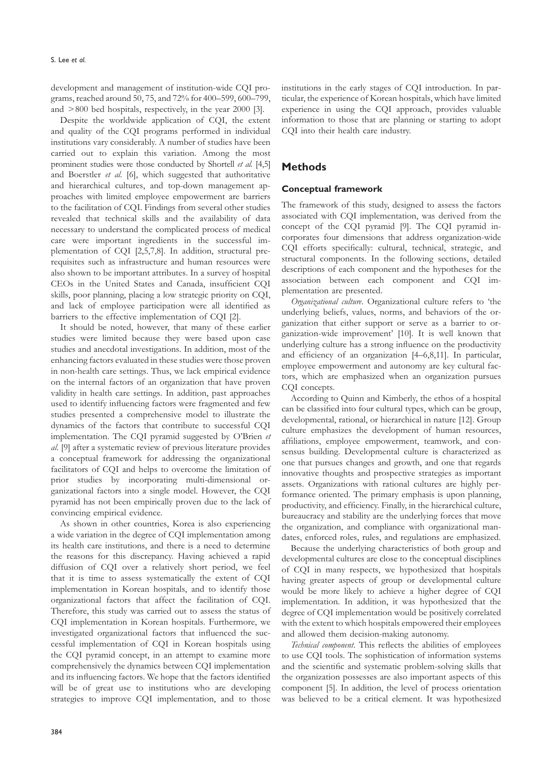development and management of institution-wide CQI pro- institutions in the early stages of CQI introduction. In par-

and quality of the CQI programs performed in individual institutions vary considerably. A number of studies have been carried out to explain this variation. Among the most prominent studies were those conducted by Shortell *et al.* [4,5] **Methods** and Boerstler *et al.* [6], which suggested that authoritative and hierarchical cultures, and top-down management ap-<br>proaches with limited employee empowerment are barriers<br>to the facilitation of COI Findings from several other studies The framework of this study, designed to assess

to the fucitation of COI. Finalney from several other smalles <sup>1</sup> fac funnework of this study, designed to assess the factors of the streak of the streek of the streek of the streek of the streek of the streek of the stre

investigated organizational factors that influenced the suc- and allowed them decision-making autonomy. cessful implementation of CQI in Korean hospitals using *Technical component*. This reflects the abilities of employees

grams, reached around 50, 75, and 72% for 400–599, 600–799, ticular, the experience of Korean hospitals, which have limited and >800 bed hospitals, respectively, in the year 2000 [3]. experience in using the CQI approach, provides valuable Despite the worldwide application of CQI, the extent information to those that are planning or starting to adopt d quality of the COI programs performed in individual COI into their health care industry.

diffusion of CQI over a relatively short period, we feel of CQI in many respects, we hypothesized that hospitals that it is time to assess systematically the extent of CQI having greater aspects of group or developmental c that it is time to assess systematically the extent of CQI having greater aspects of group or developmental culture<br>implementation in Korean hospitals, and to identify those would be more likely to achieve a higher degree implementation in Korean hospitals, and to identify those would be more likely to achieve a higher degree of CQI organizational factors that affect the facilitation of CQI. implementation. In addition, it was hypothesized that the Therefore, this study was carried out to assess the status of degree of CQI implementation would be positively correlated CQI implementation in Korean hospitals. Furthermore, we with the extent to which hospitals empowered with the extent to which hospitals empowered their employees

the CQI pyramid concept, in an attempt to examine more to use CQI tools. The sophistication of information systems comprehensively the dynamics between CQI implementation and the scientific and systematic problem-solving skills that the organization possesses are also important aspects of this will be of great use to institutions who are developing component [5]. In addition, the level of process orientation strategies to improve CQI implementation, and to those was believed to be a critical element. It was hypothesized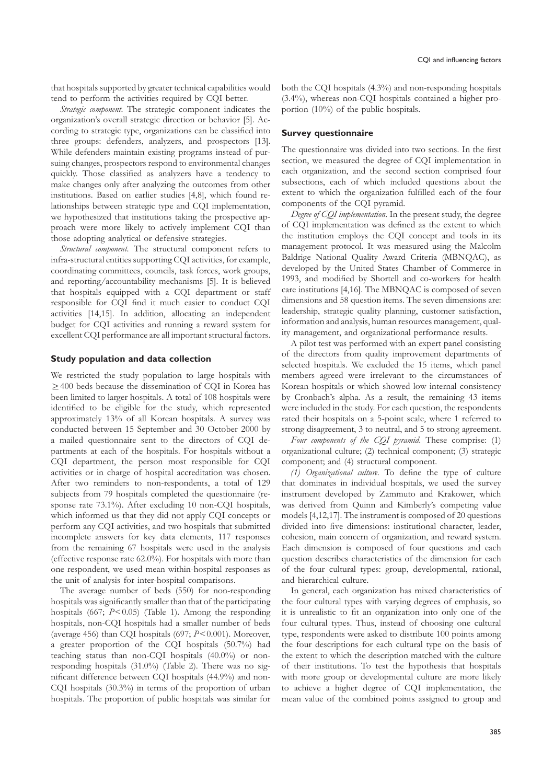that hospitals supported by greater technical capabilities would both the CQI hospitals (4.3%) and non-responding hospitals

*Strategic component*. The strategic component indicates the portion (10%) of the public hospitals. organization's overall strategic direction or behavior [5]. According to strategic type, organizations can be classified into **Survey questionnaire**<br>three groups: defenders, analyzers, and prospectors [13].<br>While defenders maintain existing programs instead of pure The questionnaire institutions. Based on earlier studies [4,8], which found re-<br>lationships between strategic type and CQI implementation, components of the CQI pyramid.<br>we hypothesized that institutions taking the prospective ap-<br> $Degree of CQI$ 

infra-structural entities supporting CQI activities, for example, Baldrige National Quality Award Criteria (MBNQAC), as<br>coordinating committees, councils, task forces, work groups, developed by the United States Chamber of

a mailed questionnaire sent to the directors of CQI de- *Four components of the CQI pyramid*. These comprise: (1) partments at each of the hospitals. For hospitals without a organizational culture; (2) technical component; (3) strategic CQI department, the person most responsible for CQI component; and (4) structural component. activities or in charge of hospital accreditation was chosen. *(1) Organizational culture*. To define the type of culture the unit of analysis for inter-hospital comparisons. and hierarchical culture.

tend to perform the activities required by CQI better. (3.4%), whereas non-CQI hospitals contained a higher pro-

While defenders maintain existing programs instead of pur-<br>suing changes prospectors respond to environmental changes section, we measured the degree of CQI implementation in suing changes, prospectors respond to environmental changes section, we measured the degree of CQI implementation in<br>quickly. Those classified as analyzers have a tendency to each organization, and the second section compr make changes only after analyzing the outcomes from other subsections, each of which included questions about the institutions. Based on earlier studies [4.8] which found re- extent to which the organization fulfilled each

we hypothesized that institutions taking the prospective ap-<br>proced were more likely to actively implement COI than of CQI implementation was defined as the extent to which proach were more likely to actively implement CQI than of CQI implementation was defined as the extent to which<br>those adopting analytical or defensive strategies.<br>The institution employs the CQI concept and tools in its<br>fr *Structural component*. The structural component refers to management protocol. It was measured using the Malcolm

**Study population and data collection** of the directors from quality improvement departments of selected hospitals. We excluded the 15 items, which panel We restricted the study population to large hospitals with members agreed were irrelevant to the circumstances of  $\geq$  400 beds because the dissemination of CQI in Korea has Korean hospitals or which showed low internal consistency been limited to larger hospitals. A total of 108 hospitals were by Cronbach's alpha. As a result, the remaining 43 items identified to be eligible for the study, which represented were included in the study. For each question, the respondents approximately 13% of all Korean hospitals. A survey was rated their hospitals on a 5-point scale, where 1 referred to conducted between 15 September and 30 October 2000 by strong disagreement, 3 to neutral, and 5 to strong agreement.

After two reminders to non-respondents, a total of 129 that dominates in individual hospitals, we used the survey subjects from 79 hospitals completed the questionnaire (re- instrument developed by Zammuto and Krakower, which sponse rate 73.1%). After excluding 10 non-CQI hospitals, was derived from Quinn and Kimberly's competing value which informed us that they did not apply COI concepts or models [4,12,17]. The instrument is composed of 20 questions perform any CQI activities, and two hospitals that submitted divided into five dimensions: institutional character, leader, incomplete answers for key data elements, 117 responses cohesion, main concern of organization, and reward system. from the remaining 67 hospitals were used in the analysis Each dimension is composed of four questions and each (effective response rate 62.0%). For hospitals with more than question describes characteristics of the dimension for each one respondent, we used mean within-hospital responses as of the four cultural types: group, developmental, rational,

The average number of beds (550) for non-responding In general, each organization has mixed characteristics of hospitals was significantly smaller than that of the participating the four cultural types with varying degrees of emphasis, so hospitals (667; *P*<0.05) (Table 1). Among the responding it is unrealistic to fit an organization into only one of the hospitals, non-CQI hospitals had a smaller number of beds four cultural types. Thus, instead of choosing one cultural (average 456) than CQI hospitals (697; *P*<0.001). Moreover, type, respondents were asked to distribute 100 points among a greater proportion of the CQI hospitals (50.7%) had the four descriptions for each cultural type on the basis of teaching status than non-CQI hospitals (40.0%) or non- the extent to which the description matched with the culture responding hospitals (31.0%) (Table 2). There was no sig- of their institutions. To test the hypothesis that hospitals nificant difference between CQI hospitals (44.9%) and non- with more group or developmental culture are more likely CQI hospitals (30.3%) in terms of the proportion of urban to achieve a higher degree of CQI implementation, the hospitals. The proportion of public hospitals was similar for mean value of the combined points assigned to group and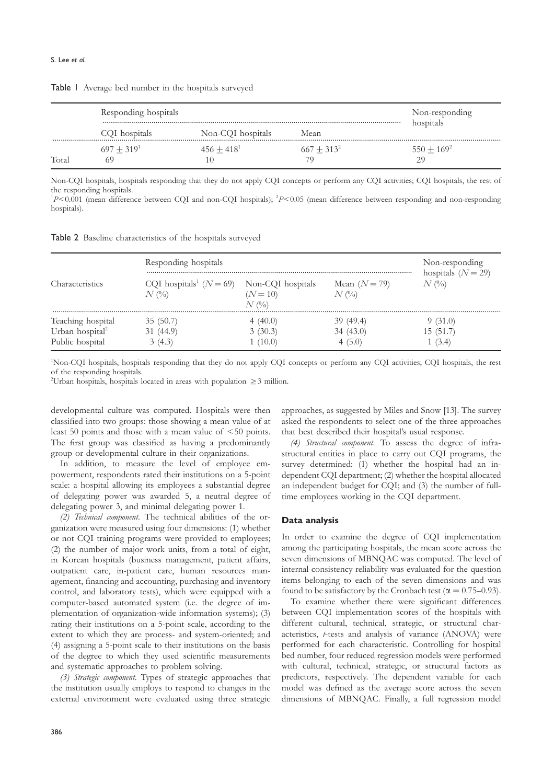|       | Responding hospitals     |                     |               | Non-responding<br>hospitals |
|-------|--------------------------|---------------------|---------------|-----------------------------|
|       | CQI hospitals            | Non-CQI hospitals   | Mean          |                             |
|       | $697 + 319$ <sup>1</sup> | $456 + 418^{\circ}$ | $667 + 313^2$ | $550 + 169^2$               |
| Total | いり                       | 10                  |               | 29                          |

Table 1 Average bed number in the hospitals surveyed

Non-CQI hospitals, hospitals responding that they do not apply CQI concepts or perform any CQI activities; CQI hospitals, the rest of the responding hospitals.

<sup>1</sup>P<0.001 (mean difference between CQI and non-CQI hospitals); <sup>2</sup>P<0.05 (mean difference between responding and non-responding hospitals).

Table 2 Baseline characteristics of the hospitals surveyed

|                                                                     | Responding hospitals                                                 |                              |                                                | Non-responding<br>hospitals $(N = 29)$ |
|---------------------------------------------------------------------|----------------------------------------------------------------------|------------------------------|------------------------------------------------|----------------------------------------|
| <b>Characteristics</b>                                              | CQI hospitals <sup>1</sup> ( $N = 69$ ) Non-CQI hospitals<br>$N(\%)$ | $(N = 10)$<br>$N($ %)        | Mean $(N = 79)$<br>$N\left(\frac{0}{0}\right)$ | $N(\%)$                                |
| Teaching hospital<br>Urban hospital <sup>2</sup><br>Public hospital | 35(50.7)<br>31(44.9)<br>3(4.3)                                       | 4(40.0)<br>3(30.3)<br>(10.0) | 39 (49.4)<br>34(43.0)<br>4(5.0)                | 9(31.0)<br>15(51.7)<br>1(3.4)          |

1 Non-CQI hospitals, hospitals responding that they do not apply CQI concepts or perform any CQI activities; CQI hospitals, the rest of the responding hospitals.

<sup>2</sup>Urban hospitals, hospitals located in areas with population  $\geq$  3 million.

classified into two groups: those showing a mean value of at asked the respondents to select one of the three approaches least 50 points and those with a mean value of <50 points. that best described their hospital's usual least 50 points and those with a mean value of <50 points. that best described their hospital's usual response.<br>The first group was classified as having a predominantly (4) Structural component. To assess the degree of inf The first group was classified as having a predominantly group or developmental culture in their organizations.

powerment, respondents rated their institutions on a 5-point dependent CQI department; (2) whether the hospital allocated scale: a hospital allowing its employees a substantial degree an independent budget for CQI; and (3) of delegating power was awarded 5, a neutral degree of time employees working in the CQI department. delegating power 3, and minimal delegating power 1.

*(2) Technical component*. The technical abilities of the or- **Data analysis** ganization were measured using four dimensions: (1) whether or not CQI training programs were provided to employees; In order to examine the degree of CQI implementation (2) the number of major work units, from a total of eight. among the participating hospitals, the mean score acr agement, financing and accounting, purchasing and inventory items belonging to each of the seven dimensions and was control, and laboratory tests), which were equipped with a found to be satisfactory by the Cronbach test control, and laboratory tests), which were equipped with a computer-based automated system (i.e. the degree of im-<br>
To examine whether there were significant differences<br>
plementation of organization-wide information systems): (3) between CQI implementation scores of the hospitals plementation of organization-wide information systems); (3)

the institution usually employs to respond to changes in the model was defined as the average score across the seven external environment were evaluated using three strategic dimensions of MBNQAC. Finally, a full regression model

developmental culture was computed. Hospitals were then approaches, as suggested by Miles and Snow [13]. The survey

oup or developmental culture in their organizations. structural entities in place to carry out CQI programs, the<br>In addition, to measure the level of employee em-<br>survey determined: (1) whether the hospital had an insurvey determined: (1) whether the hospital had an inan independent budget for CQI; and (3) the number of full-

(2) the number of major work units, from a total of eight, among the participating hospitals, the mean score across the<br>in Korean hospitals (business management, patient affairs, seven dimensions of MBNQAC was computed. Th in Korean hospitals (business management, patient affairs, seven dimensions of MBNQAC was computed. The level of outpatient care in-patient care human resources man-<br>internal consistency reliability was evaluated for the q outpatient care, in-patient care, human resources man- internal consistency reliability was evaluated for the question

rating their institutions on a 5-point scale, according to the different cultural, technical, strategic, or structural charextent to which they are process- and system-oriented; and acteristics, *t*-tests and analysis of variance (ANOVA) were (4) assigning a 5-point scale to their institutions on the basis performed for each characteristic. Controlling for hospital of the degree to which they used scientific measurements bed number, four reduced regression models were performed with cultural, technical, strategic, or structural factors as *(3) Strategic component*. Types of strategic approaches that predictors, respectively. The dependent variable for each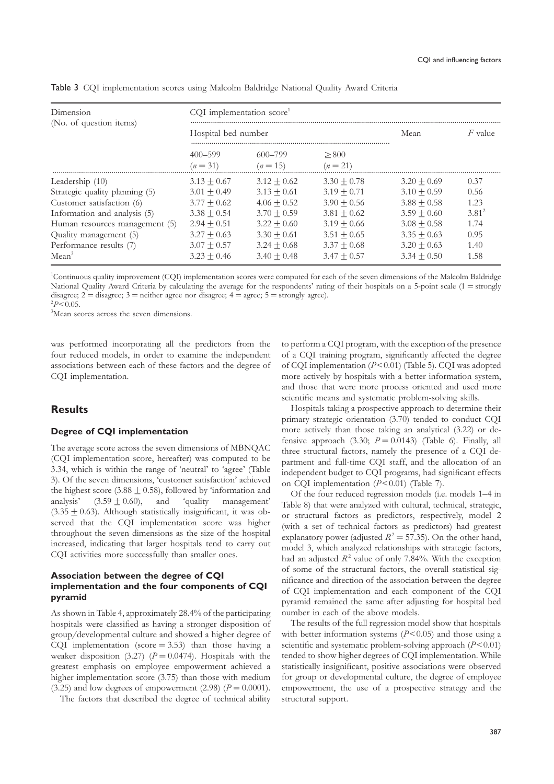| Dimension<br>(No. of question items) | CQI implementation score <sup>1</sup> |                           |                     |               |            |
|--------------------------------------|---------------------------------------|---------------------------|---------------------|---------------|------------|
|                                      | Hospital bed number                   |                           |                     | Mean          | $F$ value  |
|                                      | $400 - 599$<br>$(n = 31)$             | $600 - 799$<br>$(n = 15)$ | > 800<br>$(n = 21)$ |               |            |
| Leadership $(10)$                    | $3.13 + 0.67$                         | $3.12 + 0.62$             | $3.30 + 0.78$       | $3.20 + 0.69$ | 0.37       |
| Strategic quality planning (5)       | $3.01 \pm 0.49$                       | $3.13 + 0.61$             | $3.19 + 0.71$       | $3.10 + 0.59$ | 0.56       |
| Customer satisfaction (6)            | $3.77 + 0.62$                         | $4.06 + 0.52$             | $3.90 + 0.56$       | $3.88 + 0.58$ | 1.23       |
| Information and analysis (5)         | $3.38 \pm 0.54$                       | $3.70 + 0.59$             | $3.81 + 0.62$       | $3.59 + 0.60$ | $3.81^{2}$ |
| Human resources management (5)       | $2.94 + 0.51$                         | $3.22 + 0.60$             | $3.19 + 0.66$       | $3.08 + 0.58$ | 1.74       |
| Quality management (5)               | $3.27 + 0.63$                         | $3.30 + 0.61$             | $3.51 + 0.65$       | $3.35 + 0.63$ | 0.95       |
| Performance results (7)              | $3.07 + 0.57$                         | $3.24 + 0.68$             | $3.37 + 0.68$       | $3.20 + 0.63$ | 1.40       |
| Mean <sup>3</sup>                    | $3.23 + 0.46$                         | $3.40 + 0.48$             | $3.47 + 0.57$       | $3.34 + 0.50$ | 1.58       |

Table 3 CQI implementation scores using Malcolm Baldridge National Quality Award Criteria

1 Continuous quality improvement (CQI) implementation scores were computed for each of the seven dimensions of the Malcolm Baldridge National Quality Award Criteria by calculating the average for the respondents' rating of their hospitals on a 5-point scale (1=strongly disagree;  $2 =$  disagree;  $3 =$  neither agree nor disagree;  $4 =$  agree;  $5 =$  strongly agree).  $\frac{p}{2}P<0.05$ .

3 Mean scores across the seven dimensions.

The average score across the seven dimensions of MBNQAC<br>
(CQI implementation score, hereafter) was computed to be<br>
(CQI implementation score, hereafter) was computed to be<br>
3.34, which is within the range of 'neutral' to

As shown in Table 4, approximately 28.4% of the participating number in each of the above models. hospitals were classified as having a stronger disposition of The results of the full regression model show that hospitals group/developmental culture and showed a higher degree of with better information systems (*P*<0.05) and those using a CQI implementation (score = 3.53) than those having a scientific and systematic problem-solving approach  $(P<0.01)$ weaker disposition (3.27) ( $P = 0.0474$ ). Hospitals with the tended to show higher degrees of CQI implementation. While greatest emphasis on employee empowerment achieved a statistically insignificant, positive association greatest emphasis on employee empowerment achieved a statistically insignificant, positive associations were observed<br>higher implementation score (3.75) than those with medium for group or developmental culture, the degree higher implementation score (3.75) than those with medium (3.25) and low degrees of empowerment (2.98) ( $P = 0.0001$ ). empowerment, the use of a prospective strategy and the

The factors that described the degree of technical ability structural support.

was performed incorporating all the predictors from the to perform a CQI program, with the exception of the presence four reduced models, in order to examine the independent of a CQI training program, significantly affected the degree associations between each of these factors and the degree of of CQI implementation (*P*<0.01) (Table 5). CQI was adopted CQI implementation. more actively by hospitals with a better information system, and those that were more process oriented and used more scientific means and systematic problem-solving skills.

**Results Results Results Hospitals taking a prospective approach to determine their** primary strategic orientation (3.70) tended to conduct CQI **Degree of CQI implementation** more actively than those taking an analytical (3.22) or de-<br>fensive approach (3.30;  $P = 0.0143$ ) (Table 6). Finally, all

throughout the seven dimensions as the size of the hospital<br>increased, indicating that larger hospitals tend to carry out<br>carry out and an adjusted  $R^2 = 57.35$ ). On the other hand,<br>cQI activities more successfully than s **Association between the degree of CQI** of some of the structural factors, the overall statistical sig-<br> **implementation and the four components of CQI** implementation of the association between the degree<br> **pyramid** pyram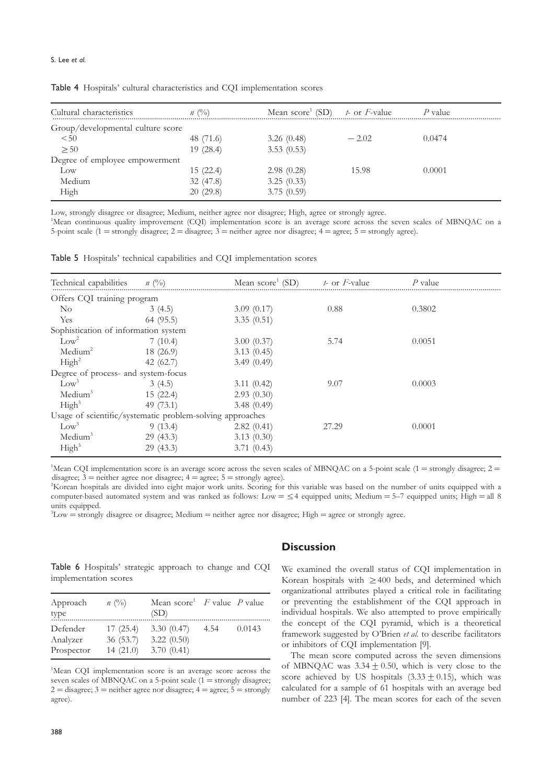### S. Lee *et al*.

Table 4 Hospitals' cultural characteristics and CQI implementation scores

| Cultural characteristics          | $n \ (\%)$ | Mean $score^1$ (SD) | $t$ - or $F$ -value | P value |
|-----------------------------------|------------|---------------------|---------------------|---------|
| Group/developmental culture score |            |                     |                     |         |
| < 50                              | 48 (71.6)  | 3.26(0.48)          | $-2.02$             | 0.0474  |
| > 50                              | 19 (28.4)  | 3.53(0.53)          |                     |         |
| Degree of employee empowerment    |            |                     |                     |         |
| Low                               | 15(22.4)   | 2.98(0.28)          | 15.98               | 0.0001  |
| Medium                            | 32(47.8)   | 3.25(0.33)          |                     |         |
| High                              | 20(29.8)   | 3.75(0.59)          |                     |         |
|                                   |            |                     |                     |         |

Low, strongly disagree or disagree; Medium, neither agree nor disagree; High, agree or strongly agree.

1 Mean continuous quality improvement (CQI) implementation score is an average score across the seven scales of MBNQAC on a 5-point scale (1 = strongly disagree; 2 = disagree; 3 = neither agree nor disagree;  $4 = \text{agree}$ ; 5 = strongly agree).

Table 5 Hospitals' technical capabilities and CQI implementation scores

| Technical capabilities               | $n \ (\frac{0}{0})$                                       | Mean $score^1$ (SD) | $t$ - or F-value | $P$ value |
|--------------------------------------|-----------------------------------------------------------|---------------------|------------------|-----------|
| Offers CQI training program          |                                                           |                     |                  |           |
| $\rm No$                             | 3(4.5)                                                    | 3.09(0.17)          | 0.88             | 0.3802    |
| Yes                                  | 64 (95.5)                                                 | 3.35(0.51)          |                  |           |
| Sophistication of information system |                                                           |                     |                  |           |
| Low <sup>2</sup>                     | 7(10.4)                                                   | 3.00(0.37)          | 5.74             | 0.0051    |
| Median <sup>2</sup>                  | 18 (26.9)                                                 | 3.13(0.45)          |                  |           |
| High <sup>2</sup>                    | 42 (62.7)                                                 | 3.49(0.49)          |                  |           |
| Degree of process- and system-focus  |                                                           |                     |                  |           |
| Low <sup>3</sup>                     | 3(4.5)                                                    | 3.11(0.42)          | 9.07             | 0.0003    |
| Median <sup>3</sup>                  | 15(22.4)                                                  | 2.93(0.30)          |                  |           |
| High <sup>3</sup>                    | 49 (73.1)                                                 | 3.48(0.49)          |                  |           |
|                                      | Usage of scientific/systematic problem-solving approaches |                     |                  |           |
| Low <sup>3</sup>                     | 9(13.4)                                                   | 2.82(0.41)          | 27.29            | 0.0001    |
| Medium <sup>3</sup>                  | 29(43.3)                                                  | 3.13(0.30)          |                  |           |
| High <sup>3</sup>                    | 29(43.3)                                                  | 3.71(0.43)          |                  |           |
|                                      |                                                           |                     |                  |           |

<sup>1</sup>Mean CQI implementation score is an average score across the seven scales of MBNQAC on a 5-point scale (1 = strongly disagree; 2 = disagree;  $3$  = neither agree nor disagree;  $4$  = agree;  $5$  = strongly agree).

2 Korean hospitals are divided into eight major work units. Scoring for this variable was based on the number of units equipped with a computer-based automated system and was ranked as follows: Low=Ζ4 equipped units; Medium=5–7 equipped units; High=all 8 units equipped.

<sup>3</sup>Low = strongly disagree or disagree; Medium = neither agree nor disagree; High = agree or strongly agree.

Table 6 Hospitals' strategic approach to change and CQI We examined the overall status of CQI implementation in<br>Korean hospitals with  $>400$  beds and determined which

| Approach<br>type                   | $n \ (\frac{0}{0})$              | Mean $score^1$ F value P value<br>(SD) |      |        | or preventing the establishment of the CQI approach in<br>individual hospitals. We also attempted to prove empirically                                                                                                      |
|------------------------------------|----------------------------------|----------------------------------------|------|--------|-----------------------------------------------------------------------------------------------------------------------------------------------------------------------------------------------------------------------------|
| Defender<br>Analyzer<br>Prospector | 17(25.4)<br>36(53.7)<br>14(21.0) | 3.30(0.47)<br>3.22(0.50)<br>3.70(0.41) | 4.54 | 0.0143 | the concept of the CQI pyramid, which is a theoretical<br>framework suggested by O'Brien et al. to describe facilitators<br>or inhibitors of CQI implementation [9].<br>The mean score computed across the seven dimensions |

 $2 =$  disagree;  $3 =$  neither agree nor disagree;  $4 =$  agree;  $5 =$  strongly

## **Discussion**

Korean hospitals with  $\geq 400$  beds, and determined which organizational attributes played a critical role in facilitating or preventing the establishment of the CQI approach in individual hospitals. We also attempted to prove empirically

<sup>1</sup>Mean CQI implementation score is an average score across the<br>seven scales of MBNQAC on a 5-point scale (1 = strongly disagree;<br> $2 =$  disagree:  $3 =$  neither agree nor disagree:  $4 =$  agree:  $5 =$  strongly disagree calculat agree).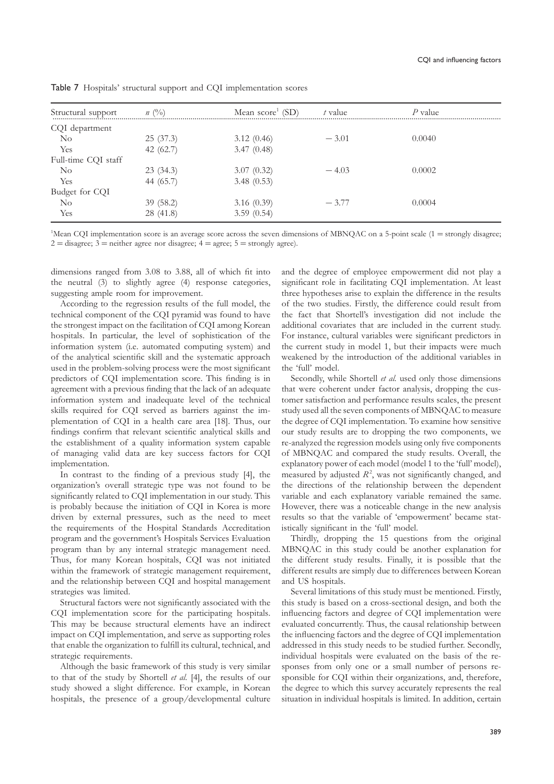| Structural support  | $n \ (\frac{0}{0})$ | Mean $score^1$ (SD) | t value | $P$ value |
|---------------------|---------------------|---------------------|---------|-----------|
| CQI department      |                     |                     |         |           |
| $\rm No$            | 25(37.3)            | 3.12(0.46)          | $-3.01$ | 0.0040    |
| Yes                 | 42 (62.7)           | 3.47(0.48)          |         |           |
| Full-time CQI staff |                     |                     |         |           |
| $\rm No$            | 23(34.3)            | 3.07(0.32)          | $-4.03$ | 0.0002    |
| Yes                 | 44 (65.7)           | 3.48(0.53)          |         |           |
| Budget for CQI      |                     |                     |         |           |
| $\rm No$            | 39 (58.2)           | 3.16(0.39)          | $-3.77$ | 0.0004    |
| Yes                 | 28 (41.8)           | 3.59(0.54)          |         |           |

Table 7 Hospitals' structural support and CQI implementation scores

<sup>1</sup>Mean CQI implementation score is an average score across the seven dimensions of MBNQAC on a 5-point scale (1 = strongly disagree;  $2 =$ disagree;  $3 =$ neither agree nor disagree;  $4 =$ agree;  $5 =$ strongly agree).

the neutral (3) to slightly agree (4) response categories, significant role in facilitating CQI implementation. At least suggesting ample room for improvement. three hypotheses arise to explain the difference in the results

technical component of the CQI pyramid was found to have the fact that Shortell's investigation did not include the the strongest impact on the facilitation of CQI among Korean additional covariates that are included in the current study. hospitals. In particular, the level of sophistication of the For instance, cultural variables were significant predictors in information system (i.e. automated computing system) and the current study in model 1, but their impacts were much of the analytical scientific skill and the systematic approach weakened by the introduction of the additional variables in used in the problem-solving process were the most significant the 'full' model.

In contrast to the finding of a previous study [4], the the requirements of the Hospital Standards Accreditation istically significant in the 'full' model. program and the government's Hospitals Services Evaluation Thirdly, dropping the 15 questions from the original program than by any internal strategic management need. MBNQAC in this study could be another explanation for Thus, for many Korean hospitals, CQI was not initiated the different study results. Finally, it is possible that the within the framework of strategic management requirement, different results are simply due to differences between Korean and the relationship between CQI and hospital management and US hospitals. strategies was limited. Several limitations of this study must be mentioned. Firstly,

CQI implementation score for the participating hospitals. influencing factors and degree of CQI implementation were This may be because structural elements have an indirect evaluated concurrently. Thus, the causal relationship between impact on CQI implementation, and serve as supporting roles the influencing factors and the degree of CQI implementation that enable the organization to fulfill its cultural, technical, and addressed in this study needs to be studied further. Secondly, strategic requirements. individual hospitals were evaluated on the basis of the re-

to that of the study by Shortell *et al.* [4], the results of our sponsible for CQI within their organizations, and, therefore, study showed a slight difference. For example, in Korean the degree to which this survey accurately represents the real hospitals, the presence of a group/developmental culture situation in individual hospitals is limited. In addition, certain

dimensions ranged from 3.08 to 3.88, all of which fit into and the degree of employee empowerment did not play a According to the regression results of the full model, the of the two studies. Firstly, the difference could result from

predictors of CQI implementation score. This finding is in Secondly, while Shortell *et al.* used only those dimensions agreement with a previous finding that the lack of an adequate that were coherent under factor analysis, dropping the cusinformation system and inadequate level of the technical tomer satisfaction and performance results scales, the present skills required for CQI served as barriers against the im- study used all the seven components of MBNQAC to measure plementation of CQI in a health care area [18]. Thus, our the degree of CQI implementation. To examine how sensitive findings confirm that relevant scientific analytical skills and our study results are to dropping the two components, we the establishment of a quality information system capable re-analyzed the regression models using only five components of managing valid data are key success factors for CQI of MBNQAC and compared the study results. Overall, the implementation.<br>In contrast to the finding of a previous study [4], the measured by adjusted  $R^2$ , was not significantly changed, and organization's overall strategic type was not found to be the directions of the relationship between the dependent significantly related to CQI implementation in our study. This variable and each explanatory variable remained the same. is probably because the initiation of CQI in Korea is more However, there was a noticeable change in the new analysis driven by external pressures, such as the need to meet results so that the variable of 'empowerment' became stat-

Structural factors were not significantly associated with the this study is based on a cross-sectional design, and both the Although the basic framework of this study is very similar sponses from only one or a small number of persons re-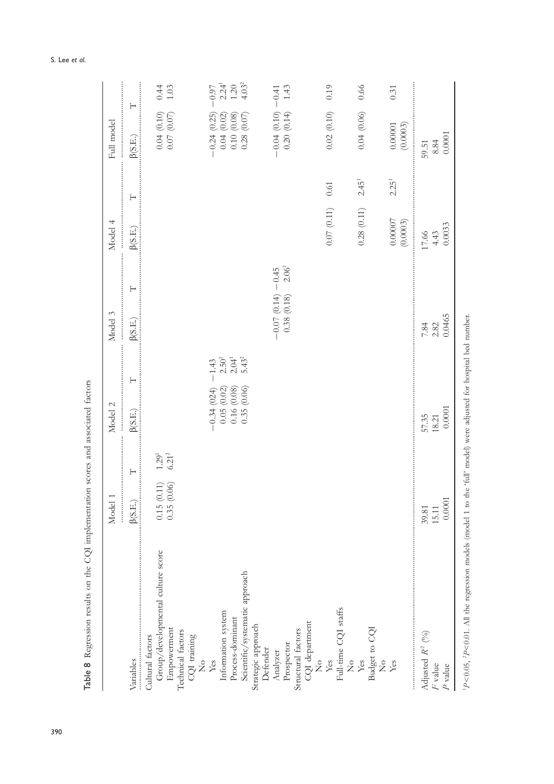|                                                       | $\overline{\phantom{0}}$<br>Model                             |                              | Model 2                                   | Model 3             |                | Model 4             |                   | Full model                                                    |                  |
|-------------------------------------------------------|---------------------------------------------------------------|------------------------------|-------------------------------------------|---------------------|----------------|---------------------|-------------------|---------------------------------------------------------------|------------------|
| Variables                                             | $\beta(\text{S.E.})$                                          | $\vdash$                     | $\vdash$<br>$\beta(S.E.)$                 | $\beta(S.E.)$       | $\vdash$       | $\beta(S.E.)$       | $\vdash$          | $\vdash$<br>$\beta(S.E.)$                                     |                  |
| Group/developmental culture score<br>Cultural factors | $\begin{array}{c} 0.15 \ (0.11) \\ 0.35 \ (0.06) \end{array}$ | $1.291$<br>6.21 <sup>2</sup> |                                           |                     |                |                     |                   | $\begin{array}{c} 0.04 \ (0.10) \\ 0.07 \ (0.07) \end{array}$ | $0.44$<br>1.03   |
| Empowerment<br>Technical factors                      |                                                               |                              |                                           |                     |                |                     |                   |                                                               |                  |
| CQI training<br>$\frac{1}{2}$                         |                                                               |                              |                                           |                     |                |                     |                   |                                                               |                  |
| Yes                                                   |                                                               |                              | $-1.43$<br>$-0.34(024)$                   |                     |                |                     |                   | (0.25)<br>0.24                                                | $-0.97$          |
| Information system                                    |                                                               |                              | $2.50^{1}$<br>$(0.02)$<br>0.05            |                     |                |                     |                   | $(0.02)$<br>0.04                                              | $2.24^{1}$       |
| Process-dominant                                      |                                                               |                              | $2.04^{1}$<br>(0.08)<br>0.16 <sub>0</sub> |                     |                |                     |                   | $(0.08)$<br>0.10                                              | $1.20$           |
| Scientific/systematic approach<br>Strategic approach  |                                                               |                              | $5.43^{2}$<br>(0.06)<br>0.35              |                     |                |                     |                   | (0.07)<br>0.28                                                | $4.03^{2}$       |
| Defender                                              |                                                               |                              |                                           |                     |                |                     |                   |                                                               |                  |
| Analyzer                                              |                                                               |                              |                                           | $-0.07(0.14) -0.45$ |                |                     |                   | $-0.04$ (0.10) $+0.41$                                        |                  |
| Prospector                                            |                                                               |                              |                                           | 0.38(0.18)          | $2.06^{\rm 1}$ |                     |                   | 0.20(0.14)                                                    | 1.43             |
| Structural factors                                    |                                                               |                              |                                           |                     |                |                     |                   |                                                               |                  |
| CQI department                                        |                                                               |                              |                                           |                     |                |                     |                   |                                                               |                  |
| $\frac{1}{2}$                                         |                                                               |                              |                                           |                     |                |                     |                   |                                                               |                  |
| Full-time CQI staffs<br>Yes                           |                                                               |                              |                                           |                     |                | 0.07(0.11)          | $0.61\,$          | 0.02(0.10)                                                    | 0.19             |
| $\frac{1}{2}$                                         |                                                               |                              |                                           |                     |                |                     |                   |                                                               |                  |
| Yes                                                   |                                                               |                              |                                           |                     |                | 0.28(0.11)          | $2.45^{1}$        | 0.04(0.06)                                                    | 0.66             |
| Budget to CQI                                         |                                                               |                              |                                           |                     |                |                     |                   |                                                               |                  |
| $\frac{1}{2}$ $\frac{1}{2}$                           |                                                               |                              |                                           |                     |                |                     |                   |                                                               |                  |
|                                                       |                                                               |                              |                                           |                     |                | 0.00007<br>(0.0003) | 2.25 <sup>1</sup> | 0.00001<br>(0.0003)                                           | 0.31             |
| Adjusted $R^2$ (%)                                    | 39.81                                                         |                              | 57.35                                     | $7.84$<br>2.82      |                | 17.66               |                   | 59.51                                                         | :<br>:<br>:<br>: |
| $\cal F$ value                                        | 15.11                                                         |                              | 18.21                                     |                     |                | 4.43                |                   | 8.84                                                          |                  |
| $P$ value                                             | $0.0001\,$                                                    |                              | 0.0001                                    | 0.0465              |                | 0.0033              |                   | 0.0001                                                        |                  |

S. Lee *et al* .